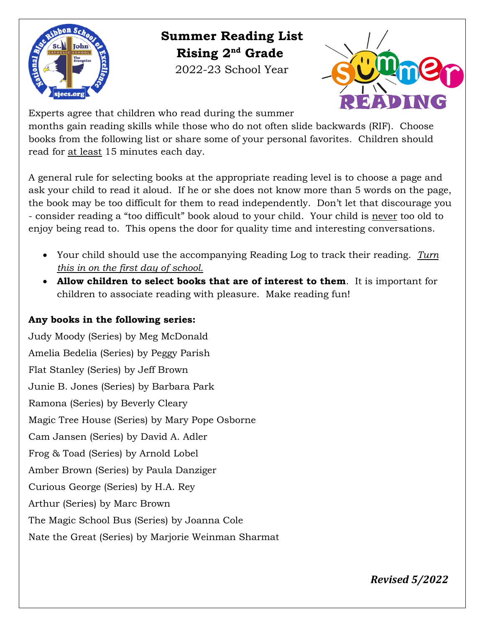

 **Summer Reading List Rising 2nd Grade** 2022-23 School Year



Experts agree that children who read during the summer

months gain reading skills while those who do not often slide backwards (RIF). Choose books from the following list or share some of your personal favorites. Children should read for at least 15 minutes each day.

A general rule for selecting books at the appropriate reading level is to choose a page and ask your child to read it aloud. If he or she does not know more than 5 words on the page, the book may be too difficult for them to read independently. Don't let that discourage you - consider reading a "too difficult" book aloud to your child. Your child is never too old to enjoy being read to. This opens the door for quality time and interesting conversations.

- Your child should use the accompanying Reading Log to track their reading. *Turn this in on the first day of school.*
- **Allow children to select books that are of interest to them**. It is important for children to associate reading with pleasure. Make reading fun!

## **Any books in the following series:**

Judy Moody (Series) by Meg McDonald Amelia Bedelia (Series) by Peggy Parish Flat Stanley (Series) by Jeff Brown Junie B. Jones (Series) by Barbara Park Ramona (Series) by Beverly Cleary Magic Tree House (Series) by Mary Pope Osborne Cam Jansen (Series) by David A. Adler Frog & Toad (Series) by Arnold Lobel Amber Brown (Series) by Paula Danziger Curious George (Series) by H.A. Rey Arthur (Series) by Marc Brown The Magic School Bus (Series) by Joanna Cole Nate the Great (Series) by Marjorie Weinman Sharmat

*Revised 5/2022*